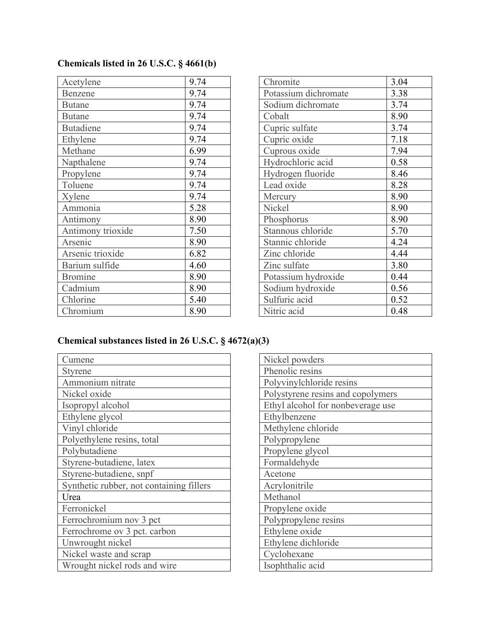| Acetylene         | 9.74 |
|-------------------|------|
| Benzene           | 9.74 |
| <b>Butane</b>     | 9.74 |
| <b>Butane</b>     | 9.74 |
| <b>Butadiene</b>  | 9.74 |
| Ethylene          | 9.74 |
| Methane           | 6.99 |
| Napthalene        | 9.74 |
| Propylene         | 9.74 |
| Toluene           | 9.74 |
| Xylene            | 9.74 |
| Ammonia           | 5.28 |
| Antimony          | 8.90 |
| Antimony trioxide | 7.50 |
| Arsenic           | 8.90 |
| Arsenic trioxide  | 6.82 |
| Barium sulfide    | 4.60 |
| <b>Bromine</b>    | 8.90 |
| Cadmium           | 8.90 |
| Chlorine          | 5.40 |
| Chromium          | 8.90 |

| Chromite             | 3.04 |
|----------------------|------|
| Potassium dichromate | 3.38 |
| Sodium dichromate    | 3.74 |
| Cobalt               | 8.90 |
| Cupric sulfate       | 3.74 |
| Cupric oxide         | 7.18 |
| Cuprous oxide        | 7.94 |
| Hydrochloric acid    | 0.58 |
| Hydrogen fluoride    | 8.46 |
| Lead oxide           | 8.28 |
| Mercury              | 8.90 |
| Nickel               | 8.90 |
| Phosphorus           | 8.90 |
| Stannous chloride    | 5.70 |
| Stannic chloride     | 4.24 |
| Zinc chloride        | 4.44 |
| Zinc sulfate         | 3.80 |
| Potassium hydroxide  | 0.44 |
| Sodium hydroxide     | 0.56 |
| Sulfuric acid        | 0.52 |
| Nitric acid          | 0.48 |

## **Chemical substances listed in 26 U.S.C. § 4672(a)(3)**

| Cumene                                   |
|------------------------------------------|
| Styrene                                  |
| Ammonium nitrate                         |
| Nickel oxide                             |
| Isopropyl alcohol                        |
| Ethylene glycol                          |
| Vinyl chloride                           |
| Polyethylene resins, total               |
| Polybutadiene                            |
| Styrene-butadiene, latex                 |
| Styrene-butadiene, snpf                  |
| Synthetic rubber, not containing fillers |
| Urea                                     |
| Ferronickel                              |
| Ferrochromium nov 3 pct                  |
| Ferrochrome ov 3 pct. carbon             |
| Unwrought nickel                         |
| Nickel waste and scrap                   |
| Wrought nickel rods and wire             |

| Nickel powders                    |
|-----------------------------------|
| Phenolic resins                   |
| Polyvinylchloride resins          |
| Polystyrene resins and copolymers |
| Ethyl alcohol for nonbeverage use |
| Ethylbenzene                      |
| Methylene chloride                |
| Polypropylene                     |
| Propylene glycol                  |
| Formaldehyde                      |
| Acetone                           |
| Acrylonitrile                     |
| Methanol                          |
| Propylene oxide                   |
| Polypropylene resins              |
| Ethylene oxide                    |
| Ethylene dichloride               |
| Cyclohexane                       |
| Isophthalic acid                  |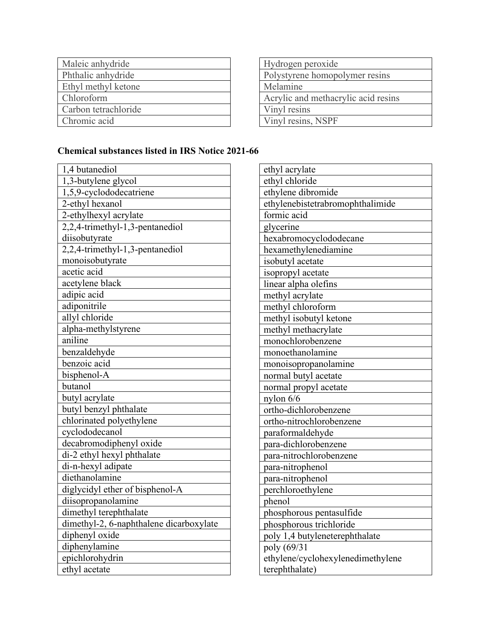| Maleic anhydride     |
|----------------------|
| Phthalic anhydride   |
| Ethyl methyl ketone  |
| Chloroform           |
| Carbon tetrachloride |
| Chromic acid         |

| Hydrogen peroxide                   |
|-------------------------------------|
| Polystyrene homopolymer resins      |
| Melamine                            |
| Acrylic and methacrylic acid resins |
| Vinyl resins                        |
| Vinyl resins, NSPF                  |

## **Chemical substances listed in IRS Notice 2021-66**

| 1,4 butanediol                          |
|-----------------------------------------|
| 1,3-butylene glycol                     |
| 1,5,9-cyclododecatriene                 |
| 2-ethyl hexanol                         |
| 2-ethylhexyl acrylate                   |
| 2,2,4-trimethyl-1,3-pentanediol         |
| diisobutyrate                           |
| 2,2,4-trimethyl-1,3-pentanediol         |
| monoisobutyrate                         |
| acetic acid                             |
| acetylene black                         |
| adipic acid                             |
| adiponitrile                            |
| allyl chloride                          |
| alpha-methylstyrene                     |
| aniline                                 |
| benzaldehyde                            |
| benzoic acid                            |
| bisphenol-A                             |
| butanol                                 |
| butyl acrylate                          |
| butyl benzyl phthalate                  |
| chlorinated polyethylene                |
| cyclododecanol                          |
| decabromodiphenyl oxide                 |
| di-2 ethyl hexyl phthalate              |
| di-n-hexyl adipate                      |
| diethanolamine                          |
| diglycidyl ether of bisphenol-A         |
| diisopropanolamine                      |
| dimethyl terephthalate                  |
| dimethyl-2, 6-naphthalene dicarboxylate |
| diphenyl oxide                          |
| diphenylamine                           |
| epichlorohydrin                         |
| ethyl acetate                           |

| ethyl acrylate                    |
|-----------------------------------|
| ethyl chloride                    |
| ethylene dibromide                |
| ethylenebistetrabromophthalimide  |
| formic acid                       |
| glycerine                         |
| hexabromocyclododecane            |
| hexamethylenediamine              |
| isobutyl acetate                  |
| isopropyl acetate                 |
| linear alpha olefins              |
| methyl acrylate                   |
| methyl chloroform                 |
| methyl isobutyl ketone            |
| methyl methacrylate               |
| monochlorobenzene                 |
| monoethanolamine                  |
| monoisopropanolamine              |
| normal butyl acetate              |
| normal propyl acetate             |
| nylon $6/6$                       |
| ortho-dichlorobenzene             |
| ortho-nitrochlorobenzene          |
| paraformaldehyde                  |
| para-dichlorobenzene              |
| para-nitrochlorobenzene           |
| para-nitrophenol                  |
| para-nitrophenol                  |
| perchloroethylene                 |
| phenol                            |
| phosphorous pentasulfide          |
| phosphorous trichloride           |
| poly 1,4 butyleneterephthalate    |
| poly (69/31                       |
| ethylene/cyclohexylenedimethylene |
| terephthalate)                    |